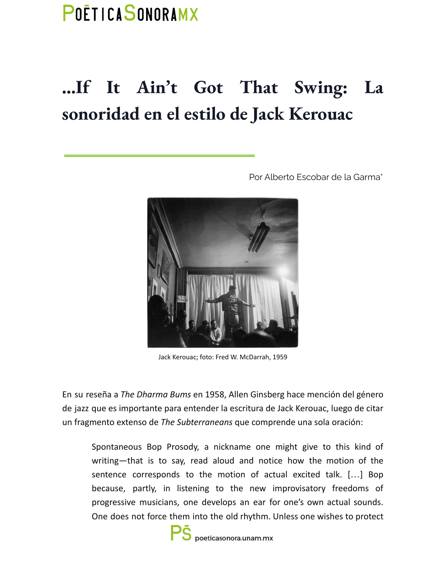## POETICASONORAMX

## **…If It Ain't Got That Swing: La sonoridad en el estilo de Jack Kerouac**



Por Alberto Escobar de la Garma\*

Jack Kerouac; foto: Fred W. McDarrah, 1959

En su reseña a *The Dharma Bums* en 1958, Allen Ginsberg hace mención del género de jazz que es importante para entender la escritura de Jack Kerouac, luego de citar un fragmento extenso de *The Subterraneans* que comprende una sola oración:

Spontaneous Bop Prosody, a nickname one might give to this kind of writing—that is to say, read aloud and notice how the motion of the sentence corresponds to the motion of actual excited talk. […] Bop because, partly, in listening to the new improvisatory freedoms of progressive musicians, one develops an ear for one's own actual sounds. One does not force them into the old rhythm. Unless one wishes to protect

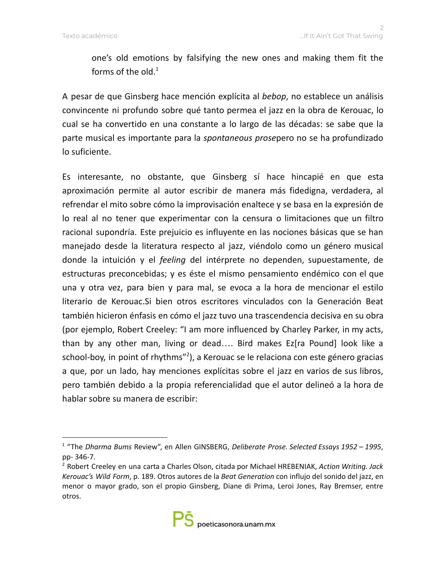one's old emotions by falsifying the new ones and making them fit the forms of the old. $^1$ 

A pesar de que Ginsberg hace mención explícita al *bebop*, no establece un análisis convincente ni profundo sobre qué tanto permea el jazz en la obra de Kerouac, lo cual se ha convertido en una constante a lo largo de las décadas: se sabe que la parte musical es importante para la *spontaneous prose*pero no se ha profundizado lo suficiente.

Es interesante, no obstante, que Ginsberg sí hace hincapié en que esta aproximación permite al autor escribir de manera más fidedigna, verdadera, al refrendar el mito sobre cómo la improvisación enaltece y se basa en la expresión de lo real al no tener que experimentar con la censura o limitaciones que un filtro racional supondría. Este prejuicio es influyente en las nociones básicas que se han manejado desde la literatura respecto al jazz, viéndolo como un género musical donde la intuición y el *feeling* del intérprete no dependen, supuestamente, de estructuras preconcebidas; y es éste el mismo pensamiento endémico con el que una y otra vez, para bien y para mal, se evoca a la hora de mencionar el estilo literario de Kerouac.Si bien otros escritores vinculados con la Generación Beat también hicieron énfasis en cómo el jazz tuvo una trascendencia decisiva en su obra (por ejemplo, Robert Creeley: "I am more influenced by Charley Parker, in my acts, than by any other man, living or dead…. Bird makes Ez[ra Pound] look like a school-boy, in point of rhythms"<sup>2</sup>), a Kerouac se le relaciona con este género gracias a que, por un lado, hay menciones explícitas sobre el jazz en varios de sus libros, pero también debido a la propia referencialidad que el autor delineó a la hora de hablar sobre su manera de escribir:

<sup>1</sup> "The *Dharma Bums* Review", en Allen GINSBERG, *Deliberate Prose. Selected Essays 1952 – 1995*, pp- 346-7.

<sup>2</sup> Robert Creeley en una carta a Charles Olson, citada por Michael HREBENIAK, *Action Writing. Jack Kerouac's Wild Form*, p. 189. Otros autores de la *Beat Generation* con influjo del sonido del jazz, en menor o mayor grado, son el propio Ginsberg, Diane di Prima, Leroi Jones, Ray Bremser, entre otros.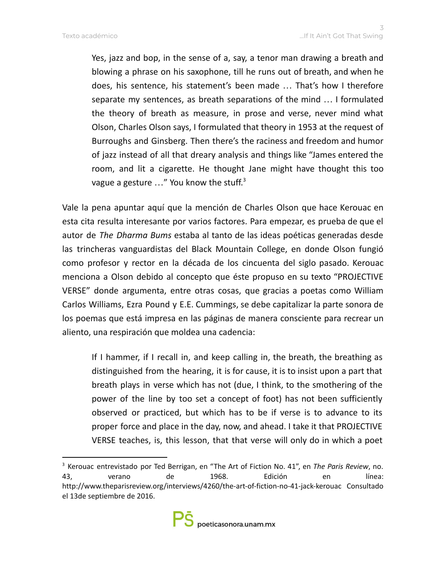Yes, jazz and bop, in the sense of a, say, a tenor man drawing a breath and blowing a phrase on his saxophone, till he runs out of breath, and when he does, his sentence, his statement's been made … That's how I therefore separate my sentences, as breath separations of the mind … I formulated the theory of breath as measure, in prose and verse, never mind what Olson, Charles Olson says, I formulated that theory in 1953 at the request of Burroughs and Ginsberg. Then there's the raciness and freedom and humor of jazz instead of all that dreary analysis and things like "James entered the room, and lit a cigarette. He thought Jane might have thought this too vague a gesture  $\ldots$ " You know the stuff.<sup>3</sup>

Vale la pena apuntar aquí que la mención de Charles Olson que hace Kerouac en esta cita resulta interesante por varios factores. Para empezar, es prueba de que el autor de *The Dharma Bums* estaba al tanto de las ideas poéticas generadas desde las trincheras vanguardistas del Black Mountain College, en donde Olson fungió como profesor y rector en la década de los cincuenta del siglo pasado. Kerouac menciona a Olson debido al concepto que éste propuso en su texto "PROJECTIVE VERSE" donde argumenta, entre otras cosas, que gracias a poetas como William Carlos Williams, Ezra Pound y E.E. Cummings, se debe capitalizar la parte sonora de los poemas que está impresa en las páginas de manera consciente para recrear un aliento, una respiración que moldea una cadencia:

If I hammer, if I recall in, and keep calling in, the breath, the breathing as distinguished from the hearing, it is for cause, it is to insist upon a part that breath plays in verse which has not (due, I think, to the smothering of the power of the line by too set a concept of foot) has not been sufficiently observed or practiced, but which has to be if verse is to advance to its proper force and place in the day, now, and ahead. I take it that PROJECTIVE VERSE teaches, is, this lesson, that that verse will only do in which a poet

<sup>3</sup> Kerouac entrevistado por Ted Berrigan, en "The Art of Fiction No. 41", en *The Paris Review*, no. 43, verano de 1968. Edición en línea: http://www.theparisreview.org/interviews/4260/the-art-of-fiction-no-41-jack-kerouac Consultado el 13de septiembre de 2016.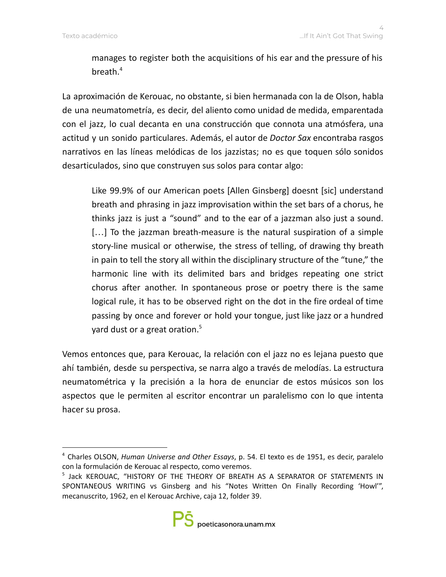manages to register both the acquisitions of his ear and the pressure of his breath. 4

La aproximación de Kerouac, no obstante, si bien hermanada con la de Olson, habla de una neumatometría, es decir, del aliento como unidad de medida, emparentada con el jazz, lo cual decanta en una construcción que connota una atmósfera, una actitud y un sonido particulares. Además, el autor de *Doctor Sax* encontraba rasgos narrativos en las líneas melódicas de los jazzistas; no es que toquen sólo sonidos desarticulados, sino que construyen sus solos para contar algo:

Like 99.9% of our American poets [Allen Ginsberg] doesnt [sic] understand breath and phrasing in jazz improvisation within the set bars of a chorus, he thinks jazz is just a "sound" and to the ear of a jazzman also just a sound. [...] To the jazzman breath-measure is the natural suspiration of a simple story-line musical or otherwise, the stress of telling, of drawing thy breath in pain to tell the story all within the disciplinary structure of the "tune," the harmonic line with its delimited bars and bridges repeating one strict chorus after another. In spontaneous prose or poetry there is the same logical rule, it has to be observed right on the dot in the fire ordeal of time passing by once and forever or hold your tongue, just like jazz or a hundred yard dust or a great oration. 5

Vemos entonces que, para Kerouac, la relación con el jazz no es lejana puesto que ahí también, desde su perspectiva, se narra algo a través de melodías. La estructura neumatométrica y la precisión a la hora de enunciar de estos músicos son los aspectos que le permiten al escritor encontrar un paralelismo con lo que intenta hacer su prosa.

<sup>4</sup> Charles OLSON, *Human Universe and Other Essays*, p. 54. El texto es de 1951, es decir, paralelo con la formulación de Kerouac al respecto, como veremos.

<sup>&</sup>lt;sup>5</sup> Jack KEROUAC, "HISTORY OF THE THEORY OF BREATH AS A SEPARATOR OF STATEMENTS IN SPONTANEOUS WRITING vs Ginsberg and his "Notes Written On Finally Recording 'Howl'", mecanuscrito, 1962, en el Kerouac Archive, caja 12, folder 39.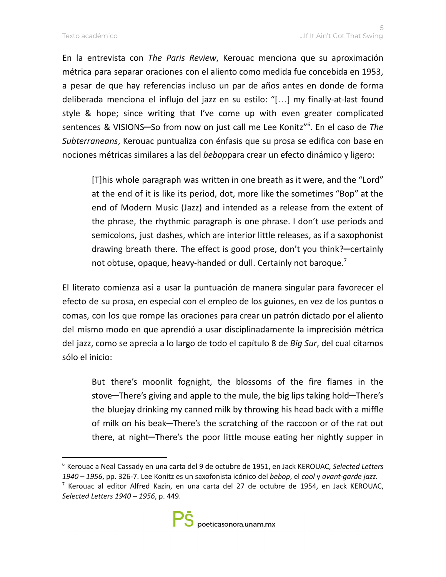En la entrevista con *The Paris Review*, Kerouac menciona que su aproximación métrica para separar oraciones con el aliento como medida fue concebida en 1953, a pesar de que hay referencias incluso un par de años antes en donde de forma deliberada menciona el influjo del jazz en su estilo: "[…] my finally-at-last found style & hope; since writing that I've come up with even greater complicated sentences & VISIONS─So from now on just call me Lee Konitz" 6 . En el caso de *The Subterraneans*, Kerouac puntualiza con énfasis que su prosa se edifica con base en nociones métricas similares a las del *bebop*para crear un efecto dinámico y ligero:

[T]his whole paragraph was written in one breath as it were, and the "Lord" at the end of it is like its period, dot, more like the sometimes "Bop" at the end of Modern Music (Jazz) and intended as a release from the extent of the phrase, the rhythmic paragraph is one phrase. I don't use periods and semicolons, just dashes, which are interior little releases, as if a saxophonist drawing breath there. The effect is good prose, don't you think?─certainly not obtuse, opaque, heavy-handed or dull. Certainly not baroque.<sup>7</sup>

El literato comienza así a usar la puntuación de manera singular para favorecer el efecto de su prosa, en especial con el empleo de los guiones, en vez de los puntos o comas, con los que rompe las oraciones para crear un patrón dictado por el aliento del mismo modo en que aprendió a usar disciplinadamente la imprecisión métrica del jazz, como se aprecia a lo largo de todo el capítulo 8 de *Big Sur*, del cual citamos sólo el inicio:

But there's moonlit fognight, the blossoms of the fire flames in the stove—There's giving and apple to the mule, the big lips taking hold—There's the bluejay drinking my canned milk by throwing his head back with a miffle of milk on his beak—There's the scratching of the raccoon or of the rat out there, at night-There's the poor little mouse eating her nightly supper in

<sup>6</sup> Kerouac a Neal Cassady en una carta del 9 de octubre de 1951, en Jack KEROUAC, *Selected Letters 1940 – 1956*, pp. 326-7. Lee Konitz es un saxofonista icónico del *bebop*, el *cool* y *avant-garde jazz.*

 $7$  Kerouac al editor Alfred Kazin, en una carta del 27 de octubre de 1954, en Jack KEROUAC, *Selected Letters 1940 – 1956*, p. 449.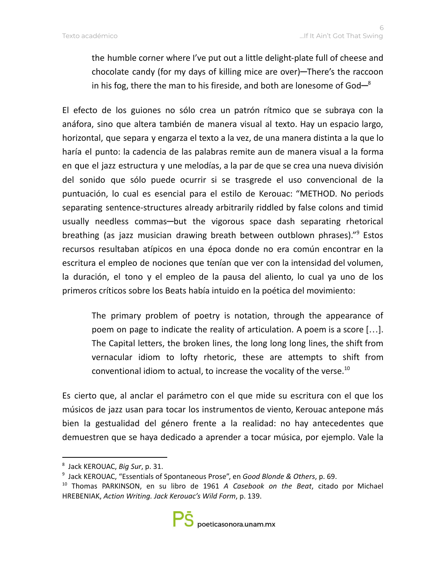the humble corner where I've put out a little delight-plate full of cheese and chocolate candy (for my days of killing mice are over)—There's the raccoon in his fog, there the man to his fireside, and both are lonesome of God $-^8$ 

El efecto de los guiones no sólo crea un patrón rítmico que se subraya con la anáfora, sino que altera también de manera visual al texto. Hay un espacio largo, horizontal, que separa y engarza el texto a la vez, de una manera distinta a la que lo haría el punto: la cadencia de las palabras remite aun de manera visual a la forma en que el jazz estructura y une melodías, a la par de que se crea una nueva división del sonido que sólo puede ocurrir si se trasgrede el uso convencional de la puntuación, lo cual es esencial para el estilo de Kerouac: "METHOD. No periods separating sentence-structures already arbitrarily riddled by false colons and timid usually needless commas—but the vigorous space dash separating rhetorical breathing (as jazz musician drawing breath between outblown phrases)." <sup>9</sup> Estos recursos resultaban atípicos en una época donde no era común encontrar en la escritura el empleo de nociones que tenían que ver con la intensidad del volumen, la duración, el tono y el empleo de la pausa del aliento, lo cual ya uno de los primeros críticos sobre los Beats había intuido en la poética del movimiento:

The primary problem of poetry is notation, through the appearance of poem on page to indicate the reality of articulation. A poem is a score […]. The Capital letters, the broken lines, the long long long lines, the shift from vernacular idiom to lofty rhetoric, these are attempts to shift from conventional idiom to actual, to increase the vocality of the verse.<sup>10</sup>

Es cierto que, al anclar el parámetro con el que mide su escritura con el que los músicos de jazz usan para tocar los instrumentos de viento, Kerouac antepone más bien la gestualidad del género frente a la realidad: no hay antecedentes que demuestren que se haya dedicado a aprender a tocar música, por ejemplo. Vale la

<sup>8</sup> Jack KEROUAC, *Big Sur*, p. 31.

<sup>9</sup> Jack KEROUAC, "Essentials of Spontaneous Prose", en *Good Blonde & Others*, p. 69.

<sup>10</sup> Thomas PARKINSON, en su libro de 1961 *A Casebook on the Beat*, citado por Michael HREBENIAK, *Action Writing. Jack Kerouac's Wild Form*, p. 139.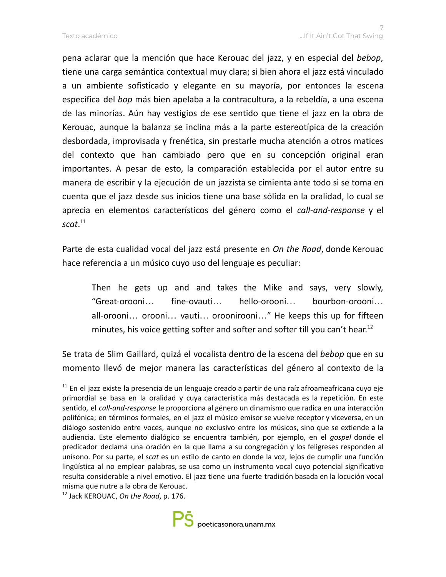pena aclarar que la mención que hace Kerouac del jazz, y en especial del *bebop*, tiene una carga semántica contextual muy clara; si bien ahora el jazz está vinculado a un ambiente sofisticado y elegante en su mayoría, por entonces la escena específica del *bop* más bien apelaba a la contracultura, a la rebeldía, a una escena de las minorías. Aún hay vestigios de ese sentido que tiene el jazz en la obra de Kerouac, aunque la balanza se inclina más a la parte estereotípica de la creación desbordada, improvisada y frenética, sin prestarle mucha atención a otros matices del contexto que han cambiado pero que en su concepción original eran importantes. A pesar de esto, la comparación establecida por el autor entre su manera de escribir y la ejecución de un jazzista se cimienta ante todo si se toma en cuenta que el jazz desde sus inicios tiene una base sólida en la oralidad, lo cual se aprecia en elementos característicos del género como el *call-and-response* y el *scat*. 11

Parte de esta cualidad vocal del jazz está presente en *On the Road*, donde Kerouac hace referencia a un músico cuyo uso del lenguaje es peculiar:

Then he gets up and and takes the Mike and says, very slowly, "Great-orooni… fine-ovauti… hello-orooni… bourbon-orooni… all-orooni… orooni… vauti… oroonirooni…" He keeps this up for fifteen minutes, his voice getting softer and softer and softer till you can't hear.<sup>12</sup>

Se trata de Slim Gaillard, quizá el vocalista dentro de la escena del *bebop* que en su momento llevó de mejor manera las características del género al contexto de la

<sup>12</sup> Jack KEROUAC, *On the Road*, p. 176.



<sup>&</sup>lt;sup>11</sup> En el jazz existe la presencia de un lenguaje creado a partir de una raíz afroameafricana cuyo eje primordial se basa en la oralidad y cuya característica más destacada es la repetición. En este sentido, el *call-and-response* le proporciona al género un dinamismo que radica en una interacción polifónica; en términos formales, en el jazz el músico emisor se vuelve receptor y viceversa, en un diálogo sostenido entre voces, aunque no exclusivo entre los músicos, sino que se extiende a la audiencia. Este elemento dialógico se encuentra también, por ejemplo, en el *gospel* donde el predicador declama una oración en la que llama a su congregación y los feligreses responden al unísono. Por su parte, el s*cat* es un estilo de canto en donde la voz, lejos de cumplir una función lingüística al no emplear palabras, se usa como un instrumento vocal cuyo potencial significativo resulta considerable a nivel emotivo. El jazz tiene una fuerte tradición basada en la locución vocal misma que nutre a la obra de Kerouac.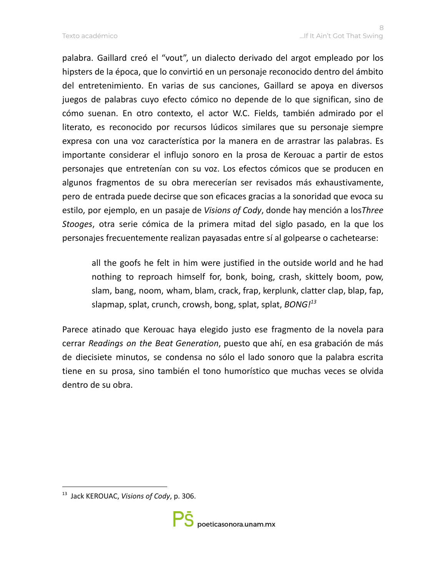palabra. Gaillard creó el "vout", un dialecto derivado del argot empleado por los hipsters de la época, que lo convirtió en un personaje reconocido dentro del ámbito del entretenimiento. En varias de sus canciones, Gaillard se apoya en diversos juegos de palabras cuyo efecto cómico no depende de lo que significan, sino de cómo suenan. En otro contexto, el actor W.C. Fields, también admirado por el literato, es reconocido por recursos lúdicos similares que su personaje siempre expresa con una voz característica por la manera en de arrastrar las palabras. Es importante considerar el influjo sonoro en la prosa de Kerouac a partir de estos personajes que entretenían con su voz. Los efectos cómicos que se producen en algunos fragmentos de su obra merecerían ser revisados más exhaustivamente, pero de entrada puede decirse que son eficaces gracias a la sonoridad que evoca su estilo, por ejemplo, en un pasaje de *Visions of Cody*, donde hay mención a los*Three Stooges*, otra serie cómica de la primera mitad del siglo pasado, en la que los personajes frecuentemente realizan payasadas entre sí al golpearse o cachetearse:

all the goofs he felt in him were justified in the outside world and he had nothing to reproach himself for, bonk, boing, crash, skittely boom, pow, slam, bang, noom, wham, blam, crack, frap, kerplunk, clatter clap, blap, fap, slapmap, splat, crunch, crowsh, bong, splat, splat, *BONG! 13*

Parece atinado que Kerouac haya elegido justo ese fragmento de la novela para cerrar *Readings on the Beat Generation*, puesto que ahí, en esa grabación de más de diecisiete minutos, se condensa no sólo el lado sonoro que la palabra escrita tiene en su prosa, sino también el tono humorístico que muchas veces se olvida dentro de su obra.

<sup>13</sup> Jack KEROUAC, *Visions of Cody*, p. 306.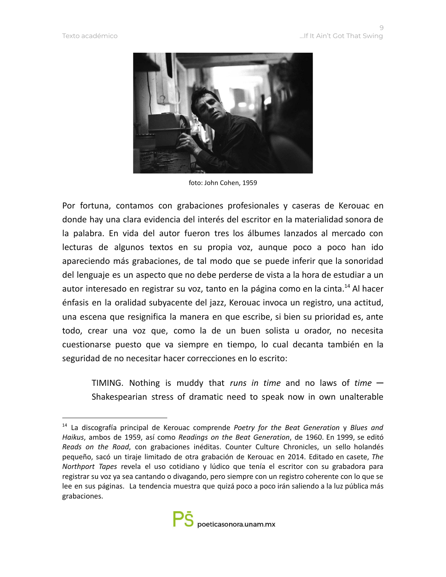

foto: John Cohen, 1959

Por fortuna, contamos con grabaciones profesionales y caseras de Kerouac en donde hay una clara evidencia del interés del escritor en la materialidad sonora de la palabra. En vida del autor fueron tres los álbumes lanzados al mercado con lecturas de algunos textos en su propia voz, aunque poco a poco han ido apareciendo más grabaciones, de tal modo que se puede inferir que la sonoridad del lenguaje es un aspecto que no debe perderse de vista a la hora de estudiar a un autor interesado en registrar su voz, tanto en la página como en la cinta.<sup>14</sup> Al hacer énfasis en la oralidad subyacente del jazz, Kerouac invoca un registro, una actitud, una escena que resignifica la manera en que escribe, si bien su prioridad es, ante todo, crear una voz que, como la de un buen solista u orador, no necesita cuestionarse puesto que va siempre en tiempo, lo cual decanta también en la seguridad de no necesitar hacer correcciones en lo escrito:

TIMING. Nothing is muddy that *runs in time* and no laws of *time* ─ Shakespearian stress of dramatic need to speak now in own unalterable

<sup>14</sup> La discografía principal de Kerouac comprende *Poetry for the Beat Generation* y *Blues and Haikus*, ambos de 1959, así como *Readings on the Beat Generation*, de 1960. En 1999, se editó *Reads on the Road*, con grabaciones inéditas. Counter Culture Chronicles, un sello holandés pequeño, sacó un tiraje limitado de otra grabación de Kerouac en 2014. Editado en casete, *The Northport Tapes* revela el uso cotidiano y lúdico que tenía el escritor con su grabadora para registrar su voz ya sea cantando o divagando, pero siempre con un registro coherente con lo que se lee en sus páginas. La tendencia muestra que quizá poco a poco irán saliendo a la luz pública más grabaciones.